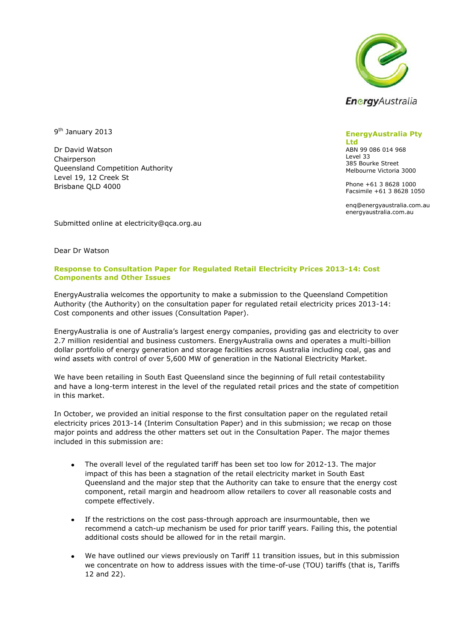

9<sup>th</sup> January 2013

Dr David Watson Chairperson Queensland Competition Authority Level 19, 12 Creek St Brisbane QLD 4000

## **EnergyAustralia Pty**

**Ltd** ABN 99 086 014 968 Level 33 385 Bourke Street Melbourne Victoria 3000

Phone +61 3 8628 1000 Facsimile +61 3 8628 1050

enq@energyaustralia.com.au energyaustralia.com.au

Submitted online at electricity@qca.org.au

Dear Dr Watson

## **Response to Consultation Paper for Regulated Retail Electricity Prices 2013-14: Cost Components and Other Issues**

EnergyAustralia welcomes the opportunity to make a submission to the Queensland Competition Authority (the Authority) on the consultation paper for regulated retail electricity prices 2013-14: Cost components and other issues (Consultation Paper).

EnergyAustralia is one of Australia's largest energy companies, providing gas and electricity to over 2.7 million residential and business customers. EnergyAustralia owns and operates a multi-billion dollar portfolio of energy generation and storage facilities across Australia including coal, gas and wind assets with control of over 5,600 MW of generation in the National Electricity Market.

We have been retailing in South East Queensland since the beginning of full retail contestability and have a long-term interest in the level of the regulated retail prices and the state of competition in this market.

In October, we provided an initial response to the first consultation paper on the regulated retail electricity prices 2013-14 (Interim Consultation Paper) and in this submission; we recap on those major points and address the other matters set out in the Consultation Paper. The major themes included in this submission are:

- The overall level of the regulated tariff has been set too low for 2012-13. The major impact of this has been a stagnation of the retail electricity market in South East Queensland and the major step that the Authority can take to ensure that the energy cost component, retail margin and headroom allow retailers to cover all reasonable costs and compete effectively.
- If the restrictions on the cost pass-through approach are insurmountable, then we  $\bullet$ recommend a catch-up mechanism be used for prior tariff years. Failing this, the potential additional costs should be allowed for in the retail margin.
- We have outlined our views previously on Tariff 11 transition issues, but in this submission we concentrate on how to address issues with the time-of-use (TOU) tariffs (that is, Tariffs 12 and 22).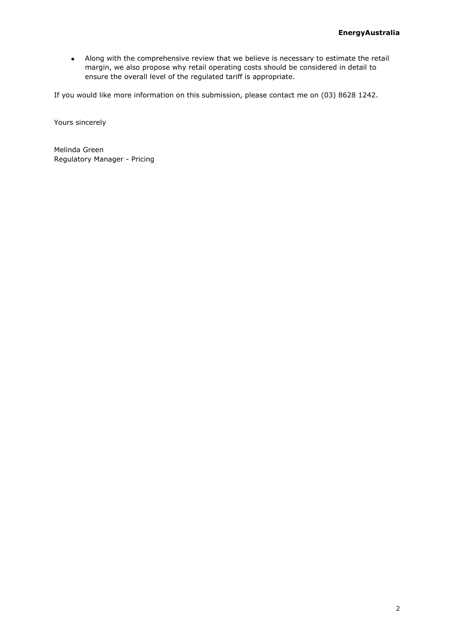Along with the comprehensive review that we believe is necessary to estimate the retail  $\bullet$ margin, we also propose why retail operating costs should be considered in detail to ensure the overall level of the regulated tariff is appropriate.

If you would like more information on this submission, please contact me on (03) 8628 1242.

Yours sincerely

Melinda Green Regulatory Manager - Pricing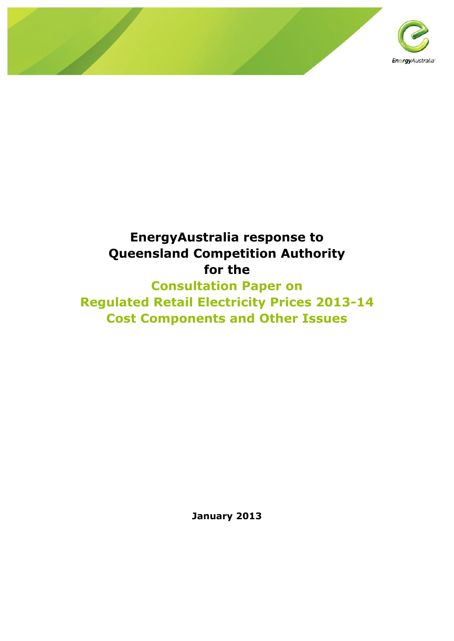

# **EnergyAustralia response to Queensland Competition Authority for the**

**Consultation Paper on Regulated Retail Electricity Prices 2013-14 Cost Components and Other Issues** 

**January 2013**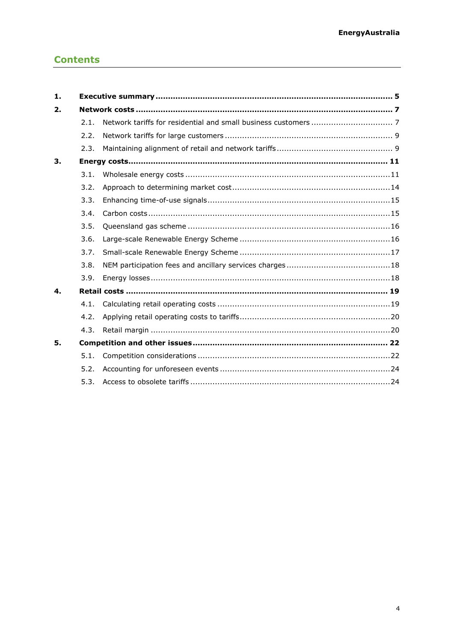## **Contents**

| 1. |      |  |  |  |  |  |
|----|------|--|--|--|--|--|
| 2. |      |  |  |  |  |  |
|    | 2.1. |  |  |  |  |  |
|    | 2.2. |  |  |  |  |  |
|    | 2.3. |  |  |  |  |  |
| 3. |      |  |  |  |  |  |
|    | 3.1. |  |  |  |  |  |
|    | 3.2. |  |  |  |  |  |
|    | 3.3. |  |  |  |  |  |
|    | 3.4. |  |  |  |  |  |
|    | 3.5. |  |  |  |  |  |
|    | 3.6. |  |  |  |  |  |
|    | 3.7. |  |  |  |  |  |
|    | 3.8. |  |  |  |  |  |
|    | 3.9. |  |  |  |  |  |
| 4. |      |  |  |  |  |  |
|    | 4.1. |  |  |  |  |  |
|    | 4.2. |  |  |  |  |  |
|    | 4.3. |  |  |  |  |  |
| 5. |      |  |  |  |  |  |
|    | 5.1. |  |  |  |  |  |
|    | 5.2. |  |  |  |  |  |
|    | 5.3. |  |  |  |  |  |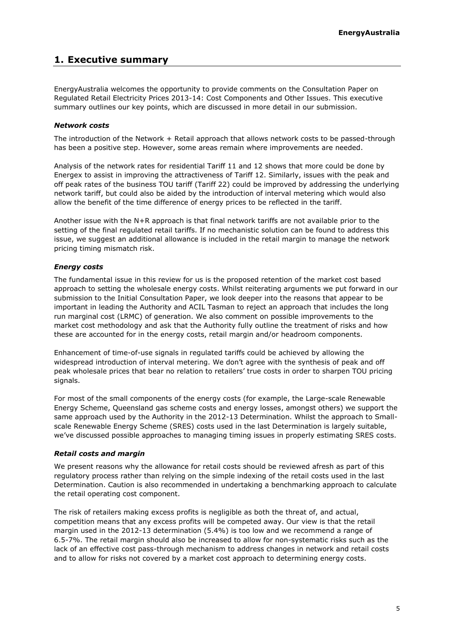## <span id="page-4-0"></span>**1. Executive summary**

EnergyAustralia welcomes the opportunity to provide comments on the Consultation Paper on Regulated Retail Electricity Prices 2013-14: Cost Components and Other Issues. This executive summary outlines our key points, which are discussed in more detail in our submission.

#### *Network costs*

The introduction of the Network + Retail approach that allows network costs to be passed-through has been a positive step. However, some areas remain where improvements are needed.

Analysis of the network rates for residential Tariff 11 and 12 shows that more could be done by Energex to assist in improving the attractiveness of Tariff 12. Similarly, issues with the peak and off peak rates of the business TOU tariff (Tariff 22) could be improved by addressing the underlying network tariff, but could also be aided by the introduction of interval metering which would also allow the benefit of the time difference of energy prices to be reflected in the tariff.

Another issue with the N+R approach is that final network tariffs are not available prior to the setting of the final regulated retail tariffs. If no mechanistic solution can be found to address this issue, we suggest an additional allowance is included in the retail margin to manage the network pricing timing mismatch risk.

#### *Energy costs*

The fundamental issue in this review for us is the proposed retention of the market cost based approach to setting the wholesale energy costs. Whilst reiterating arguments we put forward in our submission to the Initial Consultation Paper, we look deeper into the reasons that appear to be important in leading the Authority and ACIL Tasman to reject an approach that includes the long run marginal cost (LRMC) of generation. We also comment on possible improvements to the market cost methodology and ask that the Authority fully outline the treatment of risks and how these are accounted for in the energy costs, retail margin and/or headroom components.

Enhancement of time-of-use signals in regulated tariffs could be achieved by allowing the widespread introduction of interval metering. We don't agree with the synthesis of peak and off peak wholesale prices that bear no relation to retailers' true costs in order to sharpen TOU pricing signals.

For most of the small components of the energy costs (for example, the Large-scale Renewable Energy Scheme, Queensland gas scheme costs and energy losses, amongst others) we support the same approach used by the Authority in the 2012-13 Determination. Whilst the approach to Smallscale Renewable Energy Scheme (SRES) costs used in the last Determination is largely suitable, we've discussed possible approaches to managing timing issues in properly estimating SRES costs.

## *Retail costs and margin*

We present reasons why the allowance for retail costs should be reviewed afresh as part of this regulatory process rather than relying on the simple indexing of the retail costs used in the last Determination. Caution is also recommended in undertaking a benchmarking approach to calculate the retail operating cost component.

The risk of retailers making excess profits is negligible as both the threat of, and actual, competition means that any excess profits will be competed away. Our view is that the retail margin used in the 2012-13 determination (5.4%) is too low and we recommend a range of 6.5-7%. The retail margin should also be increased to allow for non-systematic risks such as the lack of an effective cost pass-through mechanism to address changes in network and retail costs and to allow for risks not covered by a market cost approach to determining energy costs.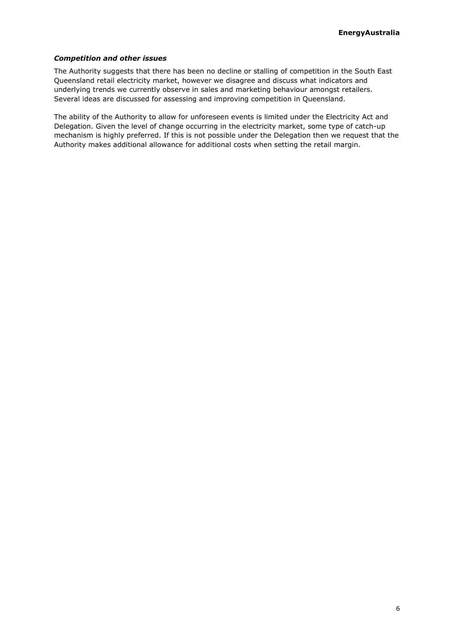## *Competition and other issues*

The Authority suggests that there has been no decline or stalling of competition in the South East Queensland retail electricity market, however we disagree and discuss what indicators and underlying trends we currently observe in sales and marketing behaviour amongst retailers. Several ideas are discussed for assessing and improving competition in Queensland.

The ability of the Authority to allow for unforeseen events is limited under the Electricity Act and Delegation. Given the level of change occurring in the electricity market, some type of catch-up mechanism is highly preferred. If this is not possible under the Delegation then we request that the Authority makes additional allowance for additional costs when setting the retail margin.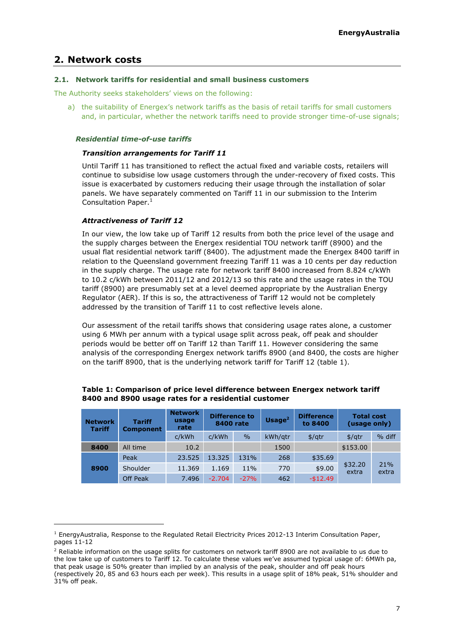## <span id="page-6-0"></span>**2. Network costs**

ł

#### <span id="page-6-1"></span>**2.1. Network tariffs for residential and small business customers**

The Authority seeks stakeholders' views on the following:

a) the suitability of Energex's network tariffs as the basis of retail tariffs for small customers and, in particular, whether the network tariffs need to provide stronger time-of-use signals;

#### *Residential time-of-use tariffs*

#### *Transition arrangements for Tariff 11*

Until Tariff 11 has transitioned to reflect the actual fixed and variable costs, retailers will continue to subsidise low usage customers through the under-recovery of fixed costs. This issue is exacerbated by customers reducing their usage through the installation of solar panels. We have separately commented on Tariff 11 in our submission to the Interim Consultation Paper. $<sup>1</sup>$ </sup>

#### *Attractiveness of Tariff 12*

In our view, the low take up of Tariff 12 results from both the price level of the usage and the supply charges between the Energex residential TOU network tariff (8900) and the usual flat residential network tariff (8400). The adjustment made the Energex 8400 tariff in relation to the Queensland government freezing Tariff 11 was a 10 cents per day reduction in the supply charge. The usage rate for network tariff 8400 increased from 8.824 c/kWh to 10.2 c/kWh between 2011/12 and 2012/13 so this rate and the usage rates in the TOU tariff (8900) are presumably set at a level deemed appropriate by the Australian Energy Regulator (AER). If this is so, the attractiveness of Tariff 12 would not be completely addressed by the transition of Tariff 11 to cost reflective levels alone.

Our assessment of the retail tariffs shows that considering usage rates alone, a customer using 6 MWh per annum with a typical usage split across peak, off peak and shoulder periods would be better off on Tariff 12 than Tariff 11. However considering the same analysis of the corresponding Energex network tariffs 8900 (and 8400, the costs are higher on the tariff 8900, that is the underlying network tariff for Tariff 12 (table 1).

| <b>Network</b><br><b>Tariff</b> | <b>Tariff</b><br><b>Component</b> | <b>Network</b><br>usage<br>rate | <b>Difference to</b><br>8400 rate |        | Usage $2$ | <b>Difference</b><br>to 8400 | <b>Total cost</b><br>(usage only) |              |
|---------------------------------|-----------------------------------|---------------------------------|-----------------------------------|--------|-----------|------------------------------|-----------------------------------|--------------|
|                                 |                                   | c/kWh                           | c/kWh                             | $\%$   | kWh/gtr   | \$/qtr                       | $\frac{4}{10}$                    | % diff       |
| 8400                            | All time                          | 10.2                            |                                   |        | 1500      |                              | \$153.00                          |              |
|                                 | Peak                              | 23.525                          | 13.325                            | 131%   | 268       | \$35.69                      | \$32.20<br>extra                  | 21%<br>extra |
| 8900                            | Shoulder                          | 11.369                          | 1.169                             | 11%    | 770       | \$9.00                       |                                   |              |
|                                 | Off Peak                          | 7.496                           | $-2.704$                          | $-27%$ | 462       | $-$12.49$                    |                                   |              |

#### **Table 1: Comparison of price level difference between Energex network tariff 8400 and 8900 usage rates for a residential customer**

<sup>&</sup>lt;sup>1</sup> EnergyAustralia, Response to the Regulated Retail Electricity Prices 2012-13 Interim Consultation Paper, pages 11-12

<sup>&</sup>lt;sup>2</sup> Reliable information on the usage splits for customers on network tariff 8900 are not available to us due to the low take up of customers to Tariff 12. To calculate these values we've assumed typical usage of: 6MWh pa, that peak usage is 50% greater than implied by an analysis of the peak, shoulder and off peak hours (respectively 20, 85 and 63 hours each per week). This results in a usage split of 18% peak, 51% shoulder and 31% off peak.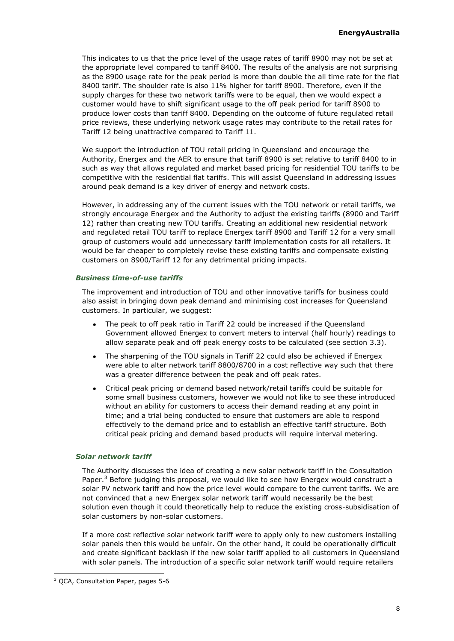This indicates to us that the price level of the usage rates of tariff 8900 may not be set at the appropriate level compared to tariff 8400. The results of the analysis are not surprising as the 8900 usage rate for the peak period is more than double the all time rate for the flat 8400 tariff. The shoulder rate is also 11% higher for tariff 8900. Therefore, even if the supply charges for these two network tariffs were to be equal, then we would expect a customer would have to shift significant usage to the off peak period for tariff 8900 to produce lower costs than tariff 8400. Depending on the outcome of future regulated retail price reviews, these underlying network usage rates may contribute to the retail rates for Tariff 12 being unattractive compared to Tariff 11.

We support the introduction of TOU retail pricing in Queensland and encourage the Authority, Energex and the AER to ensure that tariff 8900 is set relative to tariff 8400 to in such as way that allows regulated and market based pricing for residential TOU tariffs to be competitive with the residential flat tariffs. This will assist Queensland in addressing issues around peak demand is a key driver of energy and network costs.

However, in addressing any of the current issues with the TOU network or retail tariffs, we strongly encourage Energex and the Authority to adjust the existing tariffs (8900 and Tariff 12) rather than creating new TOU tariffs. Creating an additional new residential network and regulated retail TOU tariff to replace Energex tariff 8900 and Tariff 12 for a very small group of customers would add unnecessary tariff implementation costs for all retailers. It would be far cheaper to completely revise these existing tariffs and compensate existing customers on 8900/Tariff 12 for any detrimental pricing impacts.

#### *Business time-of-use tariffs*

The improvement and introduction of TOU and other innovative tariffs for business could also assist in bringing down peak demand and minimising cost increases for Queensland customers. In particular, we suggest:

- The peak to off peak ratio in Tariff 22 could be increased if the Queensland Government allowed Energex to convert meters to interval (half hourly) readings to allow separate peak and off peak energy costs to be calculated (see section [3.3\)](#page-14-0).
- The sharpening of the TOU signals in Tariff 22 could also be achieved if Energex  $\bullet$ were able to alter network tariff 8800/8700 in a cost reflective way such that there was a greater difference between the peak and off peak rates.
- Critical peak pricing or demand based network/retail tariffs could be suitable for  $\bullet$ some small business customers, however we would not like to see these introduced without an ability for customers to access their demand reading at any point in time; and a trial being conducted to ensure that customers are able to respond effectively to the demand price and to establish an effective tariff structure. Both critical peak pricing and demand based products will require interval metering.

## *Solar network tariff*

The Authority discusses the idea of creating a new solar network tariff in the Consultation Paper. $3$  Before judging this proposal, we would like to see how Energex would construct a solar PV network tariff and how the price level would compare to the current tariffs. We are not convinced that a new Energex solar network tariff would necessarily be the best solution even though it could theoretically help to reduce the existing cross-subsidisation of solar customers by non-solar customers.

If a more cost reflective solar network tariff were to apply only to new customers installing solar panels then this would be unfair. On the other hand, it could be operationally difficult and create significant backlash if the new solar tariff applied to all customers in Queensland with solar panels. The introduction of a specific solar network tariff would require retailers

<sup>3</sup> QCA, Consultation Paper, pages 5-6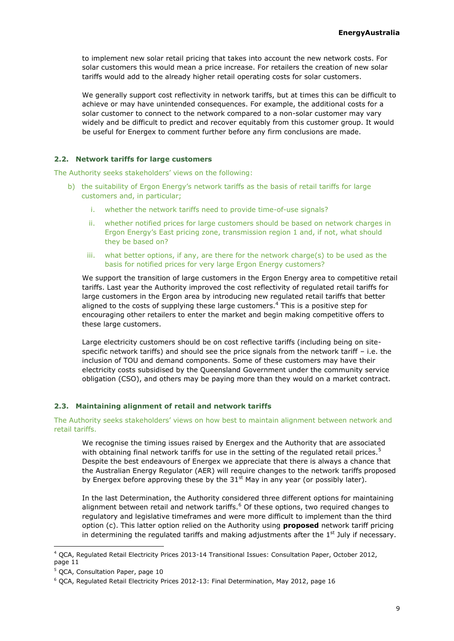to implement new solar retail pricing that takes into account the new network costs. For solar customers this would mean a price increase. For retailers the creation of new solar tariffs would add to the already higher retail operating costs for solar customers.

We generally support cost reflectivity in network tariffs, but at times this can be difficult to achieve or may have unintended consequences. For example, the additional costs for a solar customer to connect to the network compared to a non-solar customer may vary widely and be difficult to predict and recover equitably from this customer group. It would be useful for Energex to comment further before any firm conclusions are made.

## <span id="page-8-0"></span>**2.2. Network tariffs for large customers**

The Authority seeks stakeholders' views on the following:

- b) the suitability of Ergon Energy's network tariffs as the basis of retail tariffs for large customers and, in particular;
	- i. whether the network tariffs need to provide time-of-use signals?
	- ii. whether notified prices for large customers should be based on network charges in Ergon Energy's East pricing zone, transmission region 1 and, if not, what should they be based on?
	- iii. what better options, if any, are there for the network charge(s) to be used as the basis for notified prices for very large Ergon Energy customers?

We support the transition of large customers in the Ergon Energy area to competitive retail tariffs. Last year the Authority improved the cost reflectivity of regulated retail tariffs for large customers in the Ergon area by introducing new regulated retail tariffs that better aligned to the costs of supplying these large customers.<sup>4</sup> This is a positive step for encouraging other retailers to enter the market and begin making competitive offers to these large customers.

Large electricity customers should be on cost reflective tariffs (including being on sitespecific network tariffs) and should see the price signals from the network tariff – i.e. the inclusion of TOU and demand components. Some of these customers may have their electricity costs subsidised by the Queensland Government under the community service obligation (CSO), and others may be paying more than they would on a market contract.

## <span id="page-8-1"></span>**2.3. Maintaining alignment of retail and network tariffs**

## The Authority seeks stakeholders' views on how best to maintain alignment between network and retail tariffs.

We recognise the timing issues raised by Energex and the Authority that are associated with obtaining final network tariffs for use in the setting of the regulated retail prices.<sup>5</sup> Despite the best endeavours of Energex we appreciate that there is always a chance that the Australian Energy Regulator (AER) will require changes to the network tariffs proposed by Energex before approving these by the  $31<sup>st</sup>$  May in any year (or possibly later).

In the last Determination, the Authority considered three different options for maintaining alignment between retail and network tariffs.<sup>6</sup> Of these options, two required changes to regulatory and legislative timeframes and were more difficult to implement than the third option (c). This latter option relied on the Authority using **proposed** network tariff pricing in determining the regulated tariffs and making adjustments after the  $1<sup>st</sup>$  July if necessary.

<sup>4</sup> QCA, Regulated Retail Electricity Prices 2013-14 Transitional Issues: Consultation Paper, October 2012, page 11

<sup>5</sup> QCA, Consultation Paper, page 10

 $6$  OCA, Regulated Retail Electricity Prices 2012-13: Final Determination, May 2012, page 16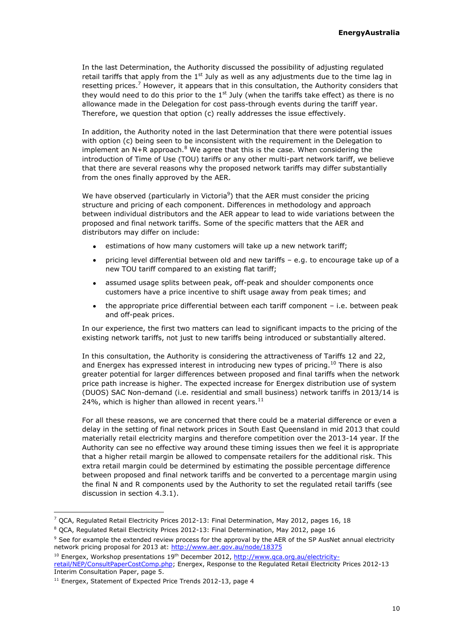In the last Determination, the Authority discussed the possibility of adjusting regulated retail tariffs that apply from the  $1<sup>st</sup>$  July as well as any adjustments due to the time lag in resetting prices.<sup>7</sup> However, it appears that in this consultation, the Authority considers that they would need to do this prior to the 1<sup>st</sup> July (when the tariffs take effect) as there is no allowance made in the Delegation for cost pass-through events during the tariff year. Therefore, we question that option (c) really addresses the issue effectively.

In addition, the Authority noted in the last Determination that there were potential issues with option (c) being seen to be inconsistent with the requirement in the Delegation to implement an  $N+R$  approach. $8$  We agree that this is the case. When considering the introduction of Time of Use (TOU) tariffs or any other multi-part network tariff, we believe that there are several reasons why the proposed network tariffs may differ substantially from the ones finally approved by the AER.

We have observed (particularly in Victoria<sup>9</sup>) that the AER must consider the pricing structure and pricing of each component. Differences in methodology and approach between individual distributors and the AER appear to lead to wide variations between the proposed and final network tariffs. Some of the specific matters that the AER and distributors may differ on include:

- $\bullet$ estimations of how many customers will take up a new network tariff;
- pricing level differential between old and new tariffs e.g. to encourage take up of a  $\bullet$ new TOU tariff compared to an existing flat tariff;
- assumed usage splits between peak, off-peak and shoulder components once  $\bullet$ customers have a price incentive to shift usage away from peak times; and
- the appropriate price differential between each tariff component i.e. between peak  $\bullet$ and off-peak prices.

In our experience, the first two matters can lead to significant impacts to the pricing of the existing network tariffs, not just to new tariffs being introduced or substantially altered.

In this consultation, the Authority is considering the attractiveness of Tariffs 12 and 22, and Energex has expressed interest in introducing new types of pricing.<sup>10</sup> There is also greater potential for larger differences between proposed and final tariffs when the network price path increase is higher. The expected increase for Energex distribution use of system (DUOS) SAC Non-demand (i.e. residential and small business) network tariffs in 2013/14 is 24%, which is higher than allowed in recent years. $^{11}$ 

For all these reasons, we are concerned that there could be a material difference or even a delay in the setting of final network prices in South East Queensland in mid 2013 that could materially retail electricity margins and therefore competition over the 2013-14 year. If the Authority can see no effective way around these timing issues then we feel it is appropriate that a higher retail margin be allowed to compensate retailers for the additional risk. This extra retail margin could be determined by estimating the possible percentage difference between proposed and final network tariffs and be converted to a percentage margin using the final N and R components used by the Authority to set the regulated retail tariffs (see discussion in section [4.3.1\)](#page-19-2).

 $7$  QCA, Regulated Retail Electricity Prices 2012-13: Final Determination, May 2012, pages 16, 18

<sup>8</sup> QCA, Regulated Retail Electricity Prices 2012-13: Final Determination, May 2012, page 16

<sup>&</sup>lt;sup>9</sup> See for example the extended review process for the approval by the AER of the SP AusNet annual electricity network pricing proposal for 2013 at:<http://www.aer.gov.au/node/18375>

<sup>&</sup>lt;sup>10</sup> Energex, Workshop presentations 19<sup>th</sup> December 2012[, http://www.qca.org.au/electricity](http://www.qca.org.au/electricity-retail/NEP/ConsultPaperCostComp.php)[retail/NEP/ConsultPaperCostComp.php;](http://www.qca.org.au/electricity-retail/NEP/ConsultPaperCostComp.php) Energex, Response to the Regulated Retail Electricity Prices 2012-13 Interim Consultation Paper, page 5.

<sup>&</sup>lt;sup>11</sup> Energex, Statement of Expected Price Trends 2012-13, page 4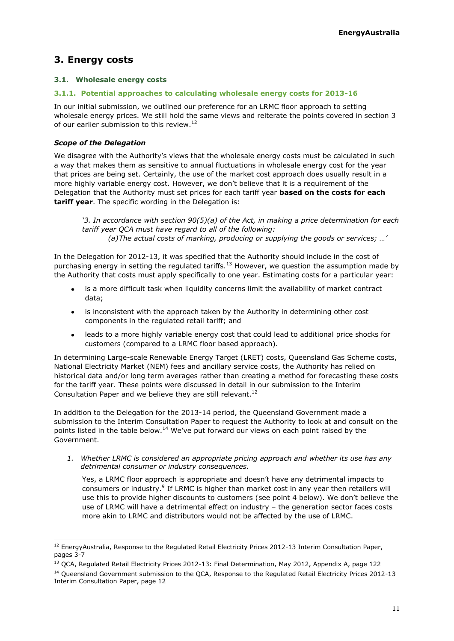## <span id="page-10-0"></span>**3. Energy costs**

## <span id="page-10-1"></span>**3.1. Wholesale energy costs**

## **3.1.1. Potential approaches to calculating wholesale energy costs for 2013-16**

<span id="page-10-2"></span>In our initial submission, we outlined our preference for an LRMC floor approach to setting wholesale energy prices. We still hold the same views and reiterate the points covered in section 3 of our earlier submission to this review.<sup>12</sup>

## *Scope of the Delegation*

ł

We disagree with the Authority's views that the wholesale energy costs must be calculated in such a way that makes them as sensitive to annual fluctuations in wholesale energy cost for the year that prices are being set. Certainly, the use of the market cost approach does usually result in a more highly variable energy cost. However, we don't believe that it is a requirement of the Delegation that the Authority must set prices for each tariff year **based on the costs for each tariff year**. The specific wording in the Delegation is:

'3. In accordance with section 90(5)(a) of the Act, in making a price determination for each *tariff year QCA must have regard to all of the following: (a)The actual costs of marking, producing or supplying the goods or services; …'*

In the Delegation for 2012-13, it was specified that the Authority should include in the cost of purchasing energy in setting the regulated tariffs.<sup>13</sup> However, we question the assumption made by the Authority that costs must apply specifically to one year. Estimating costs for a particular year:

- is a more difficult task when liquidity concerns limit the availability of market contract data;
- is inconsistent with the approach taken by the Authority in determining other cost components in the regulated retail tariff; and
- leads to a more highly variable energy cost that could lead to additional price shocks for customers (compared to a LRMC floor based approach).

In determining Large-scale Renewable Energy Target (LRET) costs, Queensland Gas Scheme costs, National Electricity Market (NEM) fees and ancillary service costs, the Authority has relied on historical data and/or long term averages rather than creating a method for forecasting these costs for the tariff year. These points were discussed in detail in our submission to the Interim Consultation Paper and we believe they are still relevant.<sup>[12](#page-10-2)</sup>

In addition to the Delegation for the 2013-14 period, the Queensland Government made a submission to the Interim Consultation Paper to request the Authority to look at and consult on the points listed in the table below.<sup>14</sup> We've put forward our views on each point raised by the Government.

*1. Whether LRMC is considered an appropriate pricing approach and whether its use has any detrimental consumer or industry consequences.*

Yes, a LRMC floor approach is appropriate and doesn't have any detrimental impacts to consumers or industry.<sup>9</sup> If LRMC is higher than market cost in any year then retailers will use this to provide higher discounts to customers (see point 4 below). We don't believe the use of LRMC will have a detrimental effect on industry – the generation sector faces costs more akin to LRMC and distributors would not be affected by the use of LRMC.

<sup>&</sup>lt;sup>12</sup> EnergyAustralia, Response to the Regulated Retail Electricity Prices 2012-13 Interim Consultation Paper, pages 3-7

<sup>&</sup>lt;sup>13</sup> QCA, Regulated Retail Electricity Prices 2012-13: Final Determination, May 2012, Appendix A, page 122

<sup>&</sup>lt;sup>14</sup> Oueensland Government submission to the OCA, Response to the Regulated Retail Electricity Prices 2012-13 Interim Consultation Paper, page 12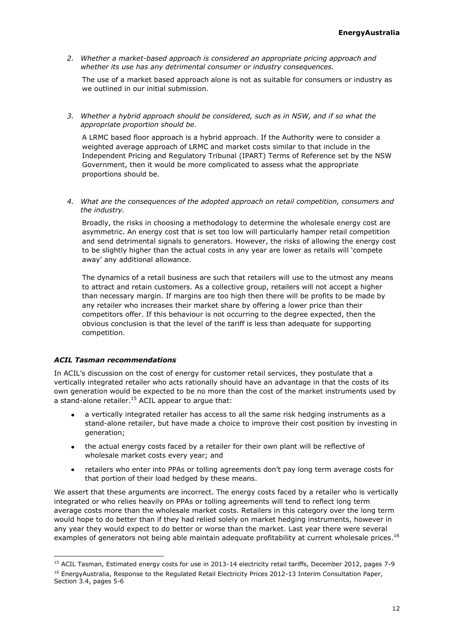*2. Whether a market-based approach is considered an appropriate pricing approach and whether its use has any detrimental consumer or industry consequences.*

The use of a market based approach alone is not as suitable for consumers or industry as we outlined in our initial submission.

*3. Whether a hybrid approach should be considered, such as in NSW, and if so what the appropriate proportion should be.*

A LRMC based floor approach is a hybrid approach. If the Authority were to consider a weighted average approach of LRMC and market costs similar to that include in the Independent Pricing and Regulatory Tribunal (IPART) Terms of Reference set by the NSW Government, then it would be more complicated to assess what the appropriate proportions should be.

*4. What are the consequences of the adopted approach on retail competition, consumers and the industry.*

Broadly, the risks in choosing a methodology to determine the wholesale energy cost are asymmetric. An energy cost that is set too low will particularly hamper retail competition and send detrimental signals to generators. However, the risks of allowing the energy cost to be slightly higher than the actual costs in any year are lower as retails will 'compete away' any additional allowance.

The dynamics of a retail business are such that retailers will use to the utmost any means to attract and retain customers. As a collective group, retailers will not accept a higher than necessary margin. If margins are too high then there will be profits to be made by any retailer who increases their market share by offering a lower price than their competitors offer. If this behaviour is not occurring to the degree expected, then the obvious conclusion is that the level of the tariff is less than adequate for supporting competition.

## *ACIL Tasman recommendations*

ł

In ACIL's discussion on the cost of energy for customer retail services, they postulate that a vertically integrated retailer who acts rationally should have an advantage in that the costs of its own generation would be expected to be no more than the cost of the market instruments used by a stand-alone retailer.<sup>15</sup> ACIL appear to argue that:

- a vertically integrated retailer has access to all the same risk hedging instruments as a stand-alone retailer, but have made a choice to improve their cost position by investing in generation;
- the actual energy costs faced by a retailer for their own plant will be reflective of wholesale market costs every year; and
- retailers who enter into PPAs or tolling agreements don't pay long term average costs for  $\bullet$ that portion of their load hedged by these means.

We assert that these arguments are incorrect. The energy costs faced by a retailer who is vertically integrated or who relies heavily on PPAs or tolling agreements will tend to reflect long term average costs more than the wholesale market costs. Retailers in this category over the long term would hope to do better than if they had relied solely on market hedging instruments, however in any year they would expect to do better or worse than the market. Last year there were several examples of generators not being able maintain adequate profitability at current wholesale prices.<sup>16</sup>

<sup>&</sup>lt;sup>15</sup> ACIL Tasman, Estimated energy costs for use in 2013-14 electricity retail tariffs, December 2012, pages 7-9 <sup>16</sup> EnergyAustralia, Response to the Regulated Retail Electricity Prices 2012-13 Interim Consultation Paper, Section 3.4, pages 5-6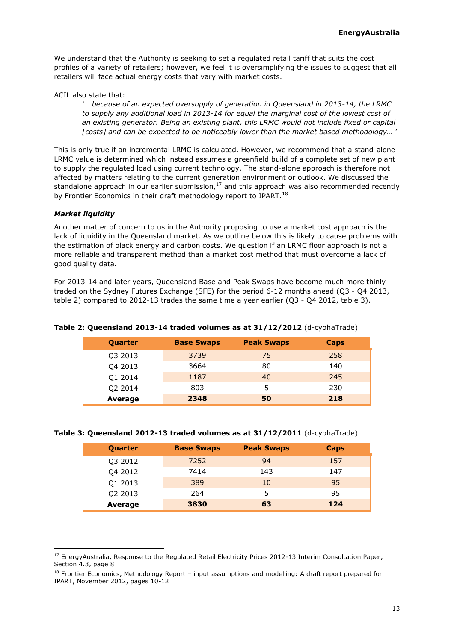We understand that the Authority is seeking to set a regulated retail tariff that suits the cost profiles of a variety of retailers; however, we feel it is oversimplifying the issues to suggest that all retailers will face actual energy costs that vary with market costs.

ACIL also state that:

*'… because of an expected oversupply of generation in Queensland in 2013-14, the LRMC to supply any additional load in 2013-14 for equal the marginal cost of the lowest cost of an existing generator. Being an existing plant, this LRMC would not include fixed or capital [costs] and can be expected to be noticeably lower than the market based methodology… '*

This is only true if an incremental LRMC is calculated. However, we recommend that a stand-alone LRMC value is determined which instead assumes a greenfield build of a complete set of new plant to supply the regulated load using current technology. The stand-alone approach is therefore not affected by matters relating to the current generation environment or outlook. We discussed the standalone approach in our earlier submission, $17$  and this approach was also recommended recently by Frontier Economics in their draft methodology report to IPART.<sup>18</sup>

## *Market liquidity*

ł

Another matter of concern to us in the Authority proposing to use a market cost approach is the lack of liquidity in the Queensland market. As we outline below this is likely to cause problems with the estimation of black energy and carbon costs. We question if an LRMC floor approach is not a more reliable and transparent method than a market cost method that must overcome a lack of good quality data.

For 2013-14 and later years, Queensland Base and Peak Swaps have become much more thinly traded on the Sydney Futures Exchange (SFE) for the period 6-12 months ahead (Q3 - Q4 2013, table 2) compared to 2012-13 trades the same time a year earlier (Q3 - Q4 2012, table 3).

| Quarter | <b>Base Swaps</b> | <b>Peak Swaps</b> | Caps |
|---------|-------------------|-------------------|------|
| Q3 2013 | 3739              | 75                | 258  |
| Q4 2013 | 3664              | 80                | 140  |
| Q1 2014 | 1187              | 40                | 245  |
| Q2 2014 | 803               | 5                 | 230  |
| Average | 2348              | 50                | 218  |

**Table 2: Queensland 2013-14 traded volumes as at 31/12/2012** (d-cyphaTrade)

## **Table 3: Queensland 2012-13 traded volumes as at 31/12/2011** (d-cyphaTrade)

| Quarter | <b>Base Swaps</b> | <b>Peak Swaps</b> | Caps |
|---------|-------------------|-------------------|------|
| Q3 2012 | 7252              | 94                | 157  |
| Q4 2012 | 7414              | 143               | 147  |
| Q1 2013 | 389               | 10                | 95   |
| Q2 2013 | 264               |                   | 95   |
| Average | 3830              | 63                | 124  |

<sup>&</sup>lt;sup>17</sup> EnergyAustralia, Response to the Regulated Retail Electricity Prices 2012-13 Interim Consultation Paper, Section 4.3, page 8

<sup>&</sup>lt;sup>18</sup> Frontier Economics, Methodology Report - input assumptions and modelling: A draft report prepared for IPART, November 2012, pages 10-12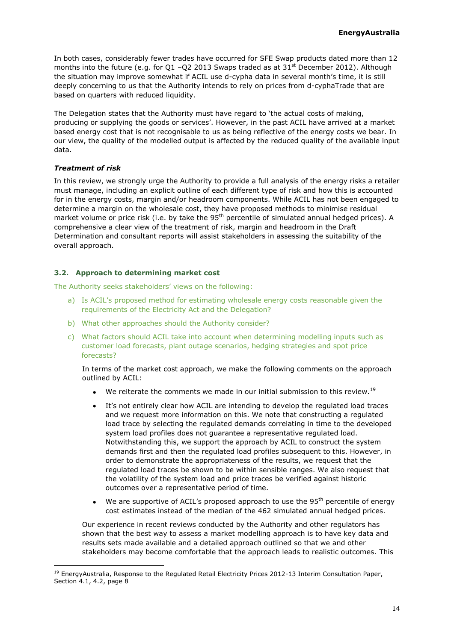In both cases, considerably fewer trades have occurred for SFE Swap products dated more than 12 months into the future (e.g. for Q1 -Q2 2013 Swaps traded as at  $31<sup>st</sup>$  December 2012). Although the situation may improve somewhat if ACIL use d-cypha data in several month's time, it is still deeply concerning to us that the Authority intends to rely on prices from d-cyphaTrade that are based on quarters with reduced liquidity.

The Delegation states that the Authority must have regard to 'the actual costs of making, producing or supplying the goods or services'. However, in the past ACIL have arrived at a market based energy cost that is not recognisable to us as being reflective of the energy costs we bear. In our view, the quality of the modelled output is affected by the reduced quality of the available input data.

## *Treatment of risk*

ł

In this review, we strongly urge the Authority to provide a full analysis of the energy risks a retailer must manage, including an explicit outline of each different type of risk and how this is accounted for in the energy costs, margin and/or headroom components. While ACIL has not been engaged to determine a margin on the wholesale cost, they have proposed methods to minimise residual market volume or price risk (i.e. by take the 95<sup>th</sup> percentile of simulated annual hedged prices). A comprehensive a clear view of the treatment of risk, margin and headroom in the Draft Determination and consultant reports will assist stakeholders in assessing the suitability of the overall approach.

## <span id="page-13-0"></span>**3.2. Approach to determining market cost**

The Authority seeks stakeholders' views on the following:

- a) Is ACIL's proposed method for estimating wholesale energy costs reasonable given the requirements of the Electricity Act and the Delegation?
- b) What other approaches should the Authority consider?
- c) What factors should ACIL take into account when determining modelling inputs such as customer load forecasts, plant outage scenarios, hedging strategies and spot price forecasts?

In terms of the market cost approach, we make the following comments on the approach outlined by ACIL:

- We reiterate the comments we made in our initial submission to this review.<sup>19</sup>
- It's not entirely clear how ACIL are intending to develop the regulated load traces  $\bullet$ and we request more information on this. We note that constructing a regulated load trace by selecting the regulated demands correlating in time to the developed system load profiles does not guarantee a representative regulated load. Notwithstanding this, we support the approach by ACIL to construct the system demands first and then the regulated load profiles subsequent to this. However, in order to demonstrate the appropriateness of the results, we request that the regulated load traces be shown to be within sensible ranges. We also request that the volatility of the system load and price traces be verified against historic outcomes over a representative period of time.
- We are supportive of ACIL's proposed approach to use the 95<sup>th</sup> percentile of energy  $\bullet$ cost estimates instead of the median of the 462 simulated annual hedged prices.

Our experience in recent reviews conducted by the Authority and other regulators has shown that the best way to assess a market modelling approach is to have key data and results sets made available and a detailed approach outlined so that we and other stakeholders may become comfortable that the approach leads to realistic outcomes. This

<sup>&</sup>lt;sup>19</sup> EnergyAustralia, Response to the Regulated Retail Electricity Prices 2012-13 Interim Consultation Paper, Section 4.1, 4.2, page 8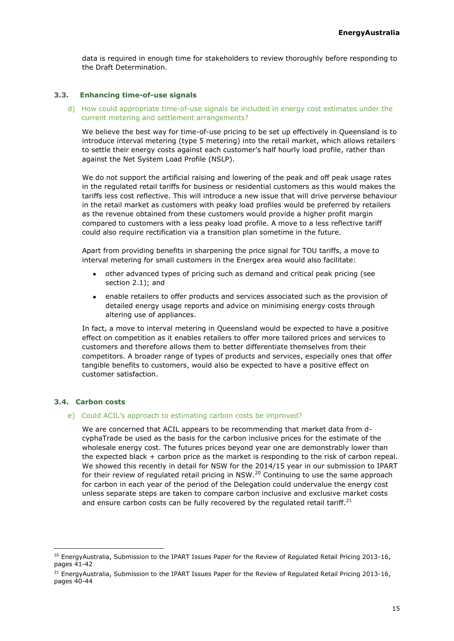data is required in enough time for stakeholders to review thoroughly before responding to the Draft Determination.

## **3.3. Enhancing time-of-use signals**

<span id="page-14-0"></span>d) How could appropriate time-of-use signals be included in energy cost estimates under the current metering and settlement arrangements?

We believe the best way for time-of-use pricing to be set up effectively in Queensland is to introduce interval metering (type 5 metering) into the retail market, which allows retailers to settle their energy costs against each customer's half hourly load profile, rather than against the Net System Load Profile (NSLP).

We do not support the artificial raising and lowering of the peak and off peak usage rates in the regulated retail tariffs for business or residential customers as this would makes the tariffs less cost reflective. This will introduce a new issue that will drive perverse behaviour in the retail market as customers with peaky load profiles would be preferred by retailers as the revenue obtained from these customers would provide a higher profit margin compared to customers with a less peaky load profile. A move to a less reflective tariff could also require rectification via a transition plan sometime in the future.

Apart from providing benefits in sharpening the price signal for TOU tariffs, a move to interval metering for small customers in the Energex area would also facilitate:

- other advanced types of pricing such as demand and critical peak pricing (see  $\bullet$ section [2.1\)](#page-6-1); and
- enable retailers to offer products and services associated such as the provision of  $\bullet$ detailed energy usage reports and advice on minimising energy costs through altering use of appliances.

In fact, a move to interval metering in Queensland would be expected to have a positive effect on competition as it enables retailers to offer more tailored prices and services to customers and therefore allows them to better differentiate themselves from their competitors. A broader range of types of products and services, especially ones that offer tangible benefits to customers, would also be expected to have a positive effect on customer satisfaction.

#### <span id="page-14-1"></span>**3.4. Carbon costs**

ł

#### e) Could ACIL's approach to estimating carbon costs be improved?

We are concerned that ACIL appears to be recommending that market data from dcyphaTrade be used as the basis for the carbon inclusive prices for the estimate of the wholesale energy cost. The futures prices beyond year one are demonstrably lower than the expected black + carbon price as the market is responding to the risk of carbon repeal. We showed this recently in detail for NSW for the 2014/15 year in our submission to IPART for their review of regulated retail pricing in NSW.<sup>20</sup> Continuing to use the same approach for carbon in each year of the period of the Delegation could undervalue the energy cost unless separate steps are taken to compare carbon inclusive and exclusive market costs and ensure carbon costs can be fully recovered by the regulated retail tariff.<sup>21</sup>

<sup>&</sup>lt;sup>20</sup> EnergyAustralia, Submission to the IPART Issues Paper for the Review of Regulated Retail Pricing 2013-16, pages 41-42

<sup>&</sup>lt;sup>21</sup> EnergyAustralia, Submission to the IPART Issues Paper for the Review of Regulated Retail Pricing 2013-16, pages 40-44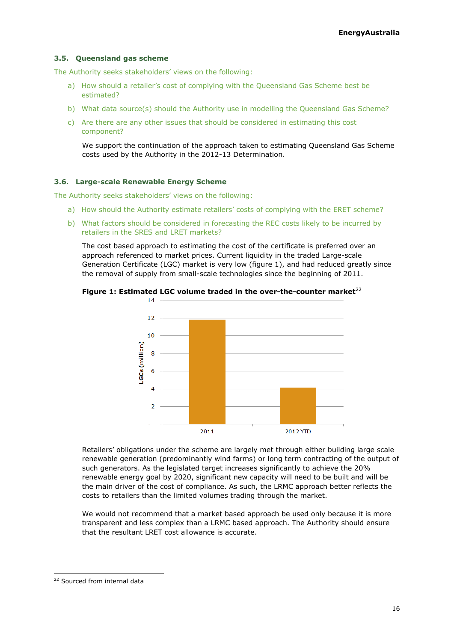## <span id="page-15-0"></span>**3.5. Queensland gas scheme**

The Authority seeks stakeholders' views on the following:

- a) How should a retailer's cost of complying with the Queensland Gas Scheme best be estimated?
- b) What data source(s) should the Authority use in modelling the Queensland Gas Scheme?
- c) Are there are any other issues that should be considered in estimating this cost component?

We support the continuation of the approach taken to estimating Queensland Gas Scheme costs used by the Authority in the 2012-13 Determination.

## <span id="page-15-1"></span>**3.6. Large-scale Renewable Energy Scheme**

The Authority seeks stakeholders' views on the following:

- a) How should the Authority estimate retailers' costs of complying with the ERET scheme?
- b) What factors should be considered in forecasting the REC costs likely to be incurred by retailers in the SRES and LRET markets?

The cost based approach to estimating the cost of the certificate is preferred over an approach referenced to market prices. Current liquidity in the traded Large-scale Generation Certificate (LGC) market is very low (figure 1), and had reduced greatly since the removal of supply from small-scale technologies since the beginning of 2011.



**Figure 1: Estimated LGC volume traded in the over-the-counter market**<sup>22</sup>

Retailers' obligations under the scheme are largely met through either building large scale renewable generation (predominantly wind farms) or long term contracting of the output of such generators. As the legislated target increases significantly to achieve the 20% renewable energy goal by 2020, significant new capacity will need to be built and will be the main driver of the cost of compliance. As such, the LRMC approach better reflects the costs to retailers than the limited volumes trading through the market.

We would not recommend that a market based approach be used only because it is more transparent and less complex than a LRMC based approach. The Authority should ensure that the resultant LRET cost allowance is accurate.

<sup>&</sup>lt;sup>22</sup> Sourced from internal data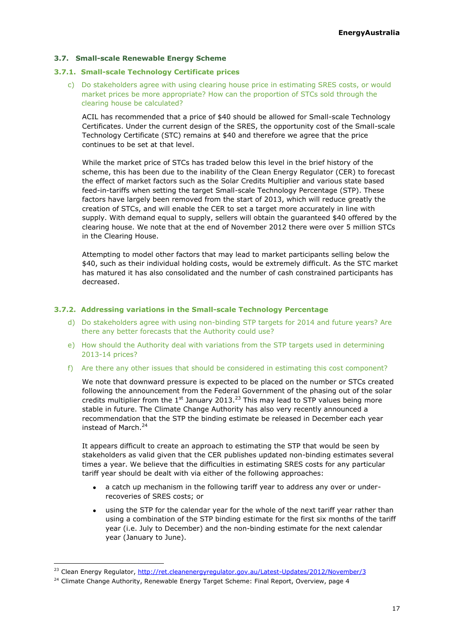## <span id="page-16-0"></span>**3.7. Small-scale Renewable Energy Scheme**

#### **3.7.1. Small-scale Technology Certificate prices**

c) Do stakeholders agree with using clearing house price in estimating SRES costs, or would market prices be more appropriate? How can the proportion of STCs sold through the clearing house be calculated?

ACIL has recommended that a price of \$40 should be allowed for Small-scale Technology Certificates. Under the current design of the SRES, the opportunity cost of the Small-scale Technology Certificate (STC) remains at \$40 and therefore we agree that the price continues to be set at that level.

While the market price of STCs has traded below this level in the brief history of the scheme, this has been due to the inability of the Clean Energy Regulator (CER) to forecast the effect of market factors such as the Solar Credits Multiplier and various state based feed-in-tariffs when setting the target Small-scale Technology Percentage (STP). These factors have largely been removed from the start of 2013, which will reduce greatly the creation of STCs, and will enable the CER to set a target more accurately in line with supply. With demand equal to supply, sellers will obtain the guaranteed \$40 offered by the clearing house. We note that at the end of November 2012 there were over 5 million STCs in the Clearing House.

Attempting to model other factors that may lead to market participants selling below the \$40, such as their individual holding costs, would be extremely difficult. As the STC market has matured it has also consolidated and the number of cash constrained participants has decreased.

#### **3.7.2. Addressing variations in the Small-scale Technology Percentage**

- d) Do stakeholders agree with using non-binding STP targets for 2014 and future years? Are there any better forecasts that the Authority could use?
- e) How should the Authority deal with variations from the STP targets used in determining 2013-14 prices?
- f) Are there any other issues that should be considered in estimating this cost component?

We note that downward pressure is expected to be placed on the number or STCs created following the announcement from the Federal Government of the phasing out of the solar credits multiplier from the  $1<sup>st</sup>$  January 2013.<sup>23</sup> This may lead to STP values being more stable in future. The Climate Change Authority has also very recently announced a recommendation that the STP the binding estimate be released in December each year instead of March.<sup>24</sup>

It appears difficult to create an approach to estimating the STP that would be seen by stakeholders as valid given that the CER publishes updated non-binding estimates several times a year. We believe that the difficulties in estimating SRES costs for any particular tariff year should be dealt with via either of the following approaches:

- a catch up mechanism in the following tariff year to address any over or under- $\bullet$ recoveries of SRES costs; or
- using the STP for the calendar year for the whole of the next tariff year rather than using a combination of the STP binding estimate for the first six months of the tariff year (i.e. July to December) and the non-binding estimate for the next calendar year (January to June).

<sup>&</sup>lt;sup>23</sup> Clean Energy Regulator[, http://ret.cleanenergyregulator.gov.au/Latest-Updates/2012/November/3](http://ret.cleanenergyregulator.gov.au/Latest-Updates/2012/November/3)

 $24$  Climate Change Authority, Renewable Energy Target Scheme: Final Report, Overview, page 4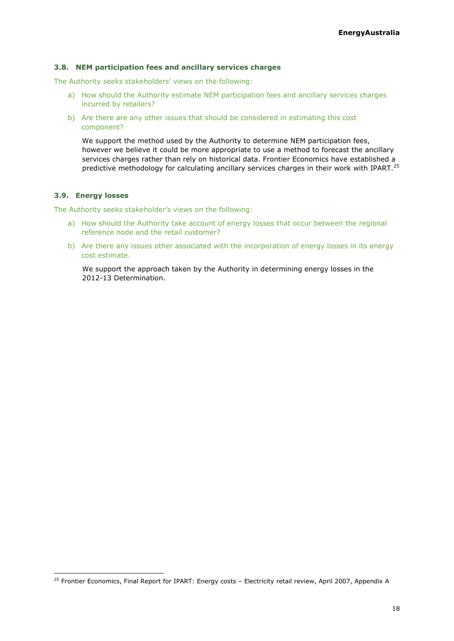## <span id="page-17-0"></span>**3.8. NEM participation fees and ancillary services charges**

The Authority seeks stakeholders' views on the following:

- a) How should the Authority estimate NEM participation fees and ancillary services charges incurred by retailers?
- b) Are there are any other issues that should be considered in estimating this cost component?

We support the method used by the Authority to determine NEM participation fees, however we believe it could be more appropriate to use a method to forecast the ancillary services charges rather than rely on historical data. Frontier Economics have established a predictive methodology for calculating ancillary services charges in their work with IPART.<sup>25</sup>

## <span id="page-17-1"></span>**3.9. Energy losses**

ł

The Authority seeks stakeholder's views on the following:

- a) How should the Authority take account of energy losses that occur between the regional reference node and the retail customer?
- b) Are there any issues other associated with the incorporation of energy losses in its energy cost estimate.

We support the approach taken by the Authority in determining energy losses in the 2012-13 Determination.

<sup>&</sup>lt;sup>25</sup> Frontier Economics, Final Report for IPART: Energy costs - Electricity retail review, April 2007, Appendix A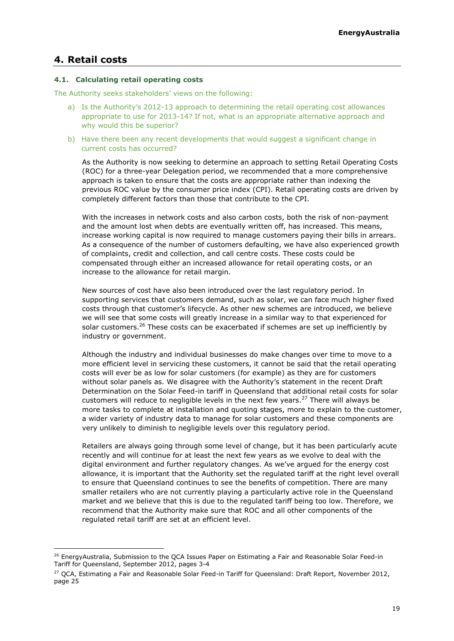## <span id="page-18-0"></span>**4. Retail costs**

ł

## <span id="page-18-1"></span>**4.1. Calculating retail operating costs**

The Authority seeks stakeholders' views on the following:

- a) Is the Authority's 2012-13 approach to determining the retail operating cost allowances appropriate to use for 2013-14? If not, what is an appropriate alternative approach and why would this be superior?
- b) Have there been any recent developments that would suggest a significant change in current costs has occurred?

As the Authority is now seeking to determine an approach to setting Retail Operating Costs (ROC) for a three-year Delegation period, we recommended that a more comprehensive approach is taken to ensure that the costs are appropriate rather than indexing the previous ROC value by the consumer price index (CPI). Retail operating costs are driven by completely different factors than those that contribute to the CPI.

With the increases in network costs and also carbon costs, both the risk of non-payment and the amount lost when debts are eventually written off, has increased. This means, increase working capital is now required to manage customers paying their bills in arrears. As a consequence of the number of customers defaulting, we have also experienced growth of complaints, credit and collection, and call centre costs. These costs could be compensated through either an increased allowance for retail operating costs, or an increase to the allowance for retail margin.

New sources of cost have also been introduced over the last regulatory period. In supporting services that customers demand, such as solar, we can face much higher fixed costs through that customer's lifecycle. As other new schemes are introduced, we believe we will see that some costs will greatly increase in a similar way to that experienced for solar customers.<sup>26</sup> These costs can be exacerbated if schemes are set up inefficiently by industry or government.

Although the industry and individual businesses do make changes over time to move to a more efficient level in servicing these customers, it cannot be said that the retail operating costs will ever be as low for solar customers (for example) as they are for customers without solar panels as. We disagree with the Authority's statement in the recent Draft Determination on the Solar Feed-in tariff in Queensland that additional retail costs for solar customers will reduce to negligible levels in the next few years.<sup>27</sup> There will always be more tasks to complete at installation and quoting stages, more to explain to the customer, a wider variety of industry data to manage for solar customers and these components are very unlikely to diminish to negligible levels over this regulatory period.

Retailers are always going through some level of change, but it has been particularly acute recently and will continue for at least the next few years as we evolve to deal with the digital environment and further regulatory changes. As we've argued for the energy cost allowance, it is important that the Authority set the regulated tariff at the right level overall to ensure that Queensland continues to see the benefits of competition. There are many smaller retailers who are not currently playing a particularly active role in the Queensland market and we believe that this is due to the regulated tariff being too low. Therefore, we recommend that the Authority make sure that ROC and all other components of the regulated retail tariff are set at an efficient level.

<sup>&</sup>lt;sup>26</sup> EnergyAustralia, Submission to the QCA Issues Paper on Estimating a Fair and Reasonable Solar Feed-in Tariff for Queensland, September 2012, pages 3-4

<sup>&</sup>lt;sup>27</sup> QCA, Estimating a Fair and Reasonable Solar Feed-in Tariff for Queensland: Draft Report, November 2012, page 25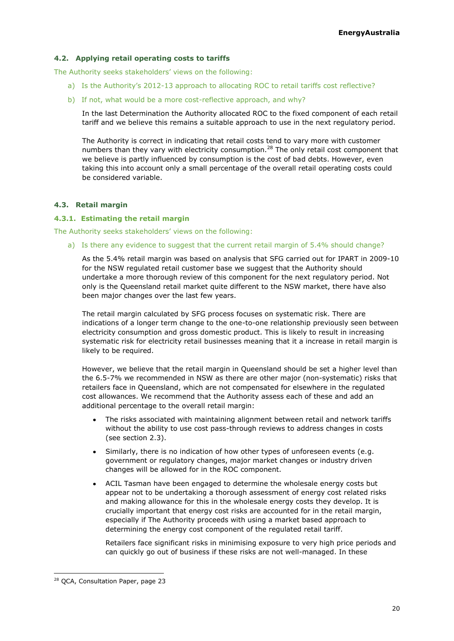## <span id="page-19-0"></span>**4.2. Applying retail operating costs to tariffs**

The Authority seeks stakeholders' views on the following:

- a) Is the Authority's 2012-13 approach to allocating ROC to retail tariffs cost reflective?
- b) If not, what would be a more cost-reflective approach, and why?

In the last Determination the Authority allocated ROC to the fixed component of each retail tariff and we believe this remains a suitable approach to use in the next regulatory period.

The Authority is correct in indicating that retail costs tend to vary more with customer numbers than they vary with electricity consumption.<sup>28</sup> The only retail cost component that we believe is partly influenced by consumption is the cost of bad debts. However, even taking this into account only a small percentage of the overall retail operating costs could be considered variable.

## <span id="page-19-1"></span>**4.3. Retail margin**

#### <span id="page-19-2"></span>**4.3.1. Estimating the retail margin**

The Authority seeks stakeholders' views on the following:

a) Is there any evidence to suggest that the current retail margin of 5.4% should change?

As the 5.4% retail margin was based on analysis that SFG carried out for IPART in 2009-10 for the NSW regulated retail customer base we suggest that the Authority should undertake a more thorough review of this component for the next regulatory period. Not only is the Queensland retail market quite different to the NSW market, there have also been major changes over the last few years.

The retail margin calculated by SFG process focuses on systematic risk. There are indications of a longer term change to the one-to-one relationship previously seen between electricity consumption and gross domestic product. This is likely to result in increasing systematic risk for electricity retail businesses meaning that it a increase in retail margin is likely to be required.

However, we believe that the retail margin in Queensland should be set a higher level than the 6.5-7% we recommended in NSW as there are other major (non-systematic) risks that retailers face in Queensland, which are not compensated for elsewhere in the regulated cost allowances. We recommend that the Authority assess each of these and add an additional percentage to the overall retail margin:

- The risks associated with maintaining alignment between retail and network tariffs without the ability to use cost pass-through reviews to address changes in costs (see section [2.3\)](#page-8-1).
- Similarly, there is no indication of how other types of unforeseen events (e.g. government or regulatory changes, major market changes or industry driven changes will be allowed for in the ROC component.
- ACIL Tasman have been engaged to determine the wholesale energy costs but appear not to be undertaking a thorough assessment of energy cost related risks and making allowance for this in the wholesale energy costs they develop. It is crucially important that energy cost risks are accounted for in the retail margin, especially if The Authority proceeds with using a market based approach to determining the energy cost component of the regulated retail tariff.

Retailers face significant risks in minimising exposure to very high price periods and can quickly go out of business if these risks are not well-managed. In these

<sup>&</sup>lt;sup>28</sup> QCA, Consultation Paper, page 23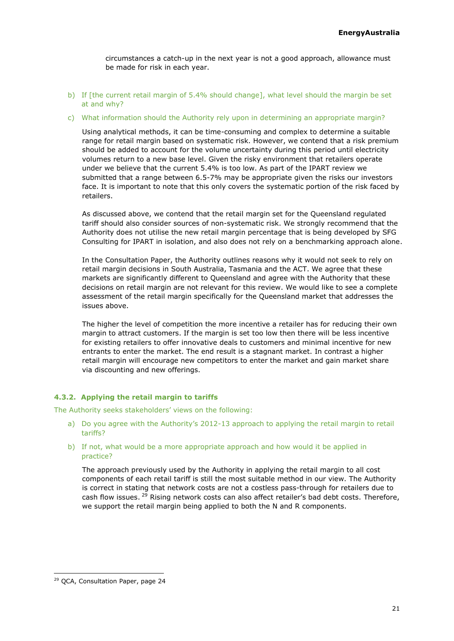circumstances a catch-up in the next year is not a good approach, allowance must be made for risk in each year.

- b) If [the current retail margin of 5.4% should change], what level should the margin be set at and why?
- c) What information should the Authority rely upon in determining an appropriate margin?

Using analytical methods, it can be time-consuming and complex to determine a suitable range for retail margin based on systematic risk. However, we contend that a risk premium should be added to account for the volume uncertainty during this period until electricity volumes return to a new base level. Given the risky environment that retailers operate under we believe that the current 5.4% is too low. As part of the IPART review we submitted that a range between 6.5-7% may be appropriate given the risks our investors face. It is important to note that this only covers the systematic portion of the risk faced by retailers.

As discussed above, we contend that the retail margin set for the Queensland regulated tariff should also consider sources of non-systematic risk. We strongly recommend that the Authority does not utilise the new retail margin percentage that is being developed by SFG Consulting for IPART in isolation, and also does not rely on a benchmarking approach alone.

In the Consultation Paper, the Authority outlines reasons why it would not seek to rely on retail margin decisions in South Australia, Tasmania and the ACT. We agree that these markets are significantly different to Queensland and agree with the Authority that these decisions on retail margin are not relevant for this review. We would like to see a complete assessment of the retail margin specifically for the Queensland market that addresses the issues above.

The higher the level of competition the more incentive a retailer has for reducing their own margin to attract customers. If the margin is set too low then there will be less incentive for existing retailers to offer innovative deals to customers and minimal incentive for new entrants to enter the market. The end result is a stagnant market. In contrast a higher retail margin will encourage new competitors to enter the market and gain market share via discounting and new offerings.

## **4.3.2. Applying the retail margin to tariffs**

The Authority seeks stakeholders' views on the following:

- a) Do you agree with the Authority's 2012-13 approach to applying the retail margin to retail tariffs?
- b) If not, what would be a more appropriate approach and how would it be applied in practice?

The approach previously used by the Authority in applying the retail margin to all cost components of each retail tariff is still the most suitable method in our view. The Authority is correct in stating that network costs are not a costless pass-through for retailers due to cash flow issues. <sup>29</sup> Rising network costs can also affect retailer's bad debt costs. Therefore, we support the retail margin being applied to both the N and R components.

<sup>&</sup>lt;sup>29</sup> QCA, Consultation Paper, page 24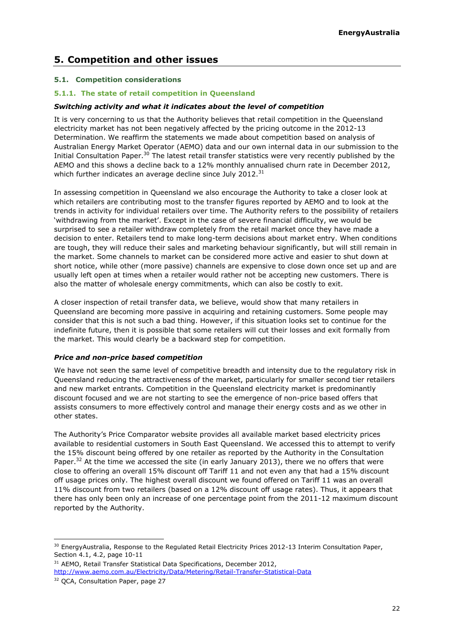## <span id="page-21-0"></span>**5. Competition and other issues**

## <span id="page-21-1"></span>**5.1. Competition considerations**

## **5.1.1. The state of retail competition in Queensland**

## *Switching activity and what it indicates about the level of competition*

It is very concerning to us that the Authority believes that retail competition in the Queensland electricity market has not been negatively affected by the pricing outcome in the 2012-13 Determination. We reaffirm the statements we made about competition based on analysis of Australian Energy Market Operator (AEMO) data and our own internal data in our submission to the Initial Consultation Paper.<sup>30</sup> The latest retail transfer statistics were very recently published by the AEMO and this shows a decline back to a 12% monthly annualised churn rate in December 2012, which further indicates an average decline since July 2012.<sup>31</sup>

In assessing competition in Queensland we also encourage the Authority to take a closer look at which retailers are contributing most to the transfer figures reported by AEMO and to look at the trends in activity for individual retailers over time. The Authority refers to the possibility of retailers 'withdrawing from the market'. Except in the case of severe financial difficulty, we would be surprised to see a retailer withdraw completely from the retail market once they have made a decision to enter. Retailers tend to make long-term decisions about market entry. When conditions are tough, they will reduce their sales and marketing behaviour significantly, but will still remain in the market. Some channels to market can be considered more active and easier to shut down at short notice, while other (more passive) channels are expensive to close down once set up and are usually left open at times when a retailer would rather not be accepting new customers. There is also the matter of wholesale energy commitments, which can also be costly to exit.

A closer inspection of retail transfer data, we believe, would show that many retailers in Queensland are becoming more passive in acquiring and retaining customers. Some people may consider that this is not such a bad thing. However, if this situation looks set to continue for the indefinite future, then it is possible that some retailers will cut their losses and exit formally from the market. This would clearly be a backward step for competition.

## *Price and non-price based competition*

We have not seen the same level of competitive breadth and intensity due to the regulatory risk in Queensland reducing the attractiveness of the market, particularly for smaller second tier retailers and new market entrants. Competition in the Queensland electricity market is predominantly discount focused and we are not starting to see the emergence of non-price based offers that assists consumers to more effectively control and manage their energy costs and as we other in other states.

The Authority's Price Comparator website provides all available market based electricity prices available to residential customers in South East Queensland. We accessed this to attempt to verify the 15% discount being offered by one retailer as reported by the Authority in the Consultation Paper.<sup>32</sup> At the time we accessed the site (in early January 2013), there we no offers that were close to offering an overall 15% discount off Tariff 11 and not even any that had a 15% discount off usage prices only. The highest overall discount we found offered on Tariff 11 was an overall 11% discount from two retailers (based on a 12% discount off usage rates). Thus, it appears that there has only been only an increase of one percentage point from the 2011-12 maximum discount reported by the Authority.

<sup>&</sup>lt;sup>30</sup> EnergyAustralia, Response to the Regulated Retail Electricity Prices 2012-13 Interim Consultation Paper, Section 4.1, 4.2, page 10-11

<sup>&</sup>lt;sup>31</sup> AEMO, Retail Transfer Statistical Data Specifications, December 2012, <http://www.aemo.com.au/Electricity/Data/Metering/Retail-Transfer-Statistical-Data>

<sup>&</sup>lt;sup>32</sup> OCA, Consultation Paper, page 27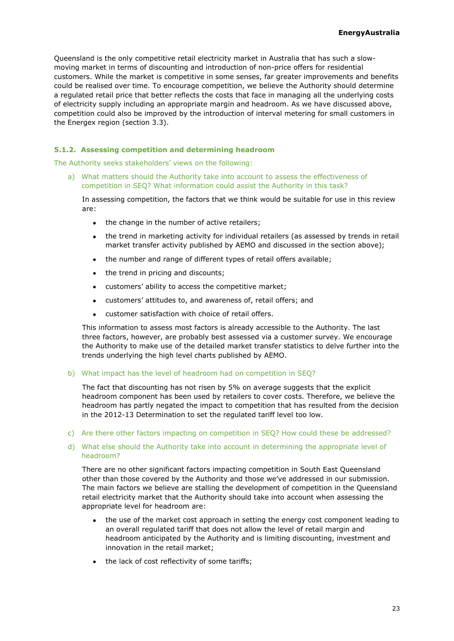Queensland is the only competitive retail electricity market in Australia that has such a slowmoving market in terms of discounting and introduction of non-price offers for residential customers. While the market is competitive in some senses, far greater improvements and benefits could be realised over time. To encourage competition, we believe the Authority should determine a regulated retail price that better reflects the costs that face in managing all the underlying costs of electricity supply including an appropriate margin and headroom. As we have discussed above, competition could also be improved by the introduction of interval metering for small customers in the Energex region (section [3.3\)](#page-14-0).

## **5.1.2. Assessing competition and determining headroom**

The Authority seeks stakeholders' views on the following:

a) What matters should the Authority take into account to assess the effectiveness of competition in SEQ? What information could assist the Authority in this task?

In assessing competition, the factors that we think would be suitable for use in this review are:

- the change in the number of active retailers:
- the trend in marketing activity for individual retailers (as assessed by trends in retail market transfer activity published by AEMO and discussed in the section above);
- the number and range of different types of retail offers available;
- the trend in pricing and discounts;  $\bullet$
- customers' ability to access the competitive market;  $\bullet$
- customers' attitudes to, and awareness of, retail offers; and
- customer satisfaction with choice of retail offers.  $\bullet$

This information to assess most factors is already accessible to the Authority. The last three factors, however, are probably best assessed via a customer survey. We encourage the Authority to make use of the detailed market transfer statistics to delve further into the trends underlying the high level charts published by AEMO.

#### b) What impact has the level of headroom had on competition in SEQ?

The fact that discounting has not risen by 5% on average suggests that the explicit headroom component has been used by retailers to cover costs. Therefore, we believe the headroom has partly negated the impact to competition that has resulted from the decision in the 2012-13 Determination to set the regulated tariff level too low.

c) Are there other factors impacting on competition in SEQ? How could these be addressed?

## d) What else should the Authority take into account in determining the appropriate level of headroom?

There are no other significant factors impacting competition in South East Queensland other than those covered by the Authority and those we've addressed in our submission. The main factors we believe are stalling the development of competition in the Queensland retail electricity market that the Authority should take into account when assessing the appropriate level for headroom are:

- the use of the market cost approach in setting the energy cost component leading to an overall regulated tariff that does not allow the level of retail margin and headroom anticipated by the Authority and is limiting discounting, investment and innovation in the retail market;
- the lack of cost reflectivity of some tariffs;